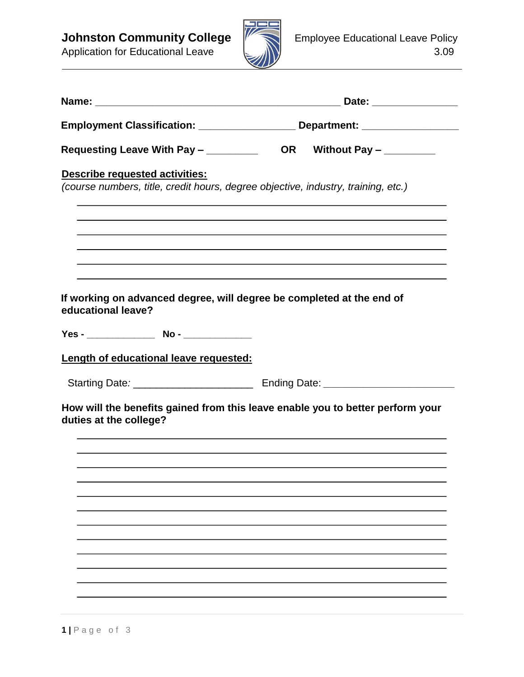Application for Educational Leave 3.09



|                                                                                                          | Date: __________________                                                         |
|----------------------------------------------------------------------------------------------------------|----------------------------------------------------------------------------------|
|                                                                                                          | Employment Classification: _____________________ Department: ___________________ |
| Requesting Leave With Pay $-\underline{\hspace{2cm}}$ OR Without Pay $-\underline{\hspace{2cm}}$         |                                                                                  |
| <b>Describe requested activities:</b>                                                                    |                                                                                  |
| (course numbers, title, credit hours, degree objective, industry, training, etc.)                        |                                                                                  |
|                                                                                                          |                                                                                  |
|                                                                                                          |                                                                                  |
|                                                                                                          |                                                                                  |
| If working on advanced degree, will degree be completed at the end of<br>educational leave?              |                                                                                  |
|                                                                                                          |                                                                                  |
| Length of educational leave requested:                                                                   |                                                                                  |
|                                                                                                          |                                                                                  |
| How will the benefits gained from this leave enable you to better perform your<br>duties at the college? |                                                                                  |
|                                                                                                          |                                                                                  |
|                                                                                                          |                                                                                  |
|                                                                                                          |                                                                                  |
|                                                                                                          |                                                                                  |
|                                                                                                          |                                                                                  |
|                                                                                                          |                                                                                  |
|                                                                                                          |                                                                                  |
|                                                                                                          |                                                                                  |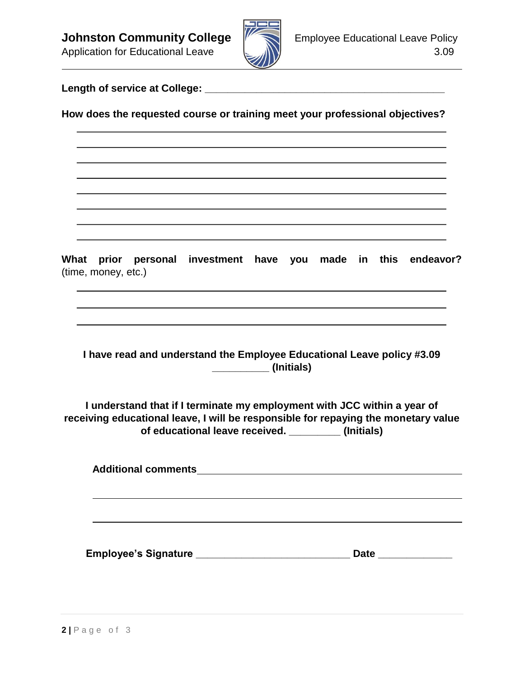

**Length of service at College: \_\_\_\_\_\_\_\_\_\_\_\_\_\_\_\_\_\_\_\_\_\_\_\_\_\_\_\_\_\_\_\_\_\_\_\_\_\_\_\_\_\_**

**How does the requested course or training meet your professional objectives?**

**What prior personal investment have you made in this endeavor?**  (time, money, etc.)

**I have read and understand the Employee Educational Leave policy #3.09 \_\_\_\_\_\_\_\_\_\_ (Initials)**

**I understand that if I terminate my employment with JCC within a year of receiving educational leave, I will be responsible for repaying the monetary value of educational leave received. \_\_\_\_\_\_\_\_\_ (Initials)**

| <b>Additional comments</b> |  |  |
|----------------------------|--|--|
|                            |  |  |

 **Employee's Signature \_\_\_\_\_\_\_\_\_\_\_\_\_\_\_\_\_\_\_\_\_\_\_\_\_\_\_ Date \_\_\_\_\_\_\_\_\_\_\_\_\_**